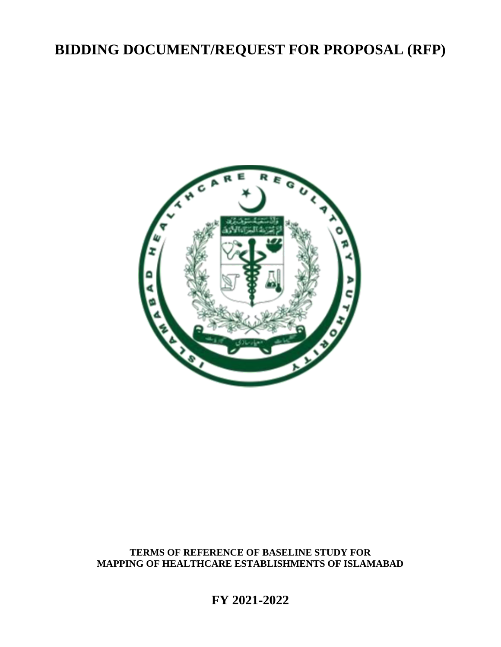# **BIDDING DOCUMENT/REQUEST FOR PROPOSAL (RFP)**



## **TERMS OF REFERENCE OF BASELINE STUDY FOR MAPPING OF HEALTHCARE ESTABLISHMENTS OF ISLAMABAD**

**FY 2021-2022**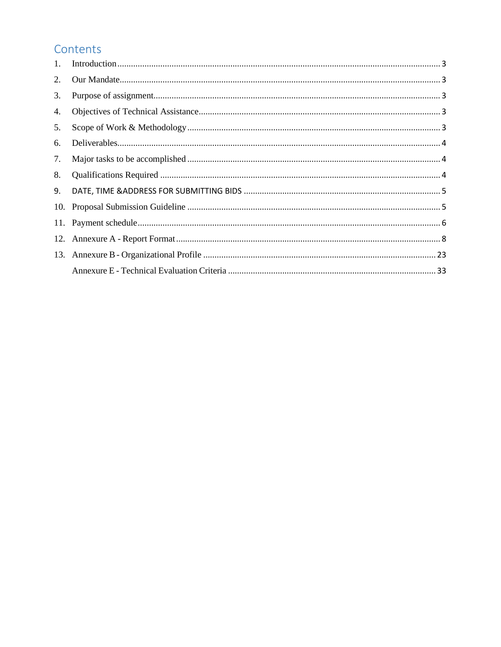## Contents

| 1.  |  |
|-----|--|
| 2.  |  |
| 3.  |  |
| 4.  |  |
| 5.  |  |
| 6.  |  |
| 7.  |  |
| 8.  |  |
| 9.  |  |
| 10. |  |
| 11. |  |
|     |  |
|     |  |
|     |  |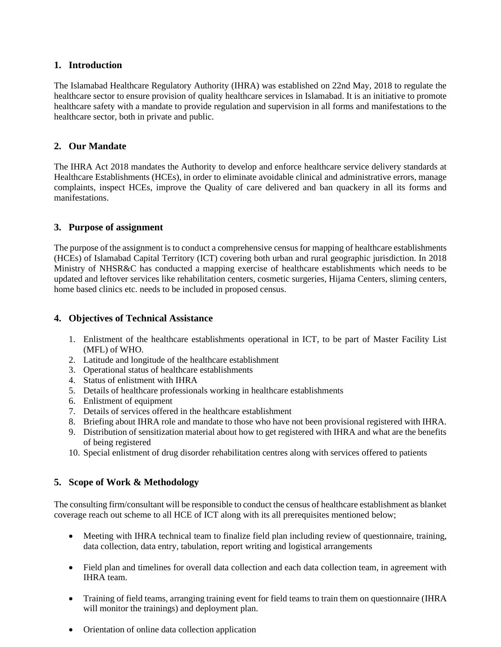## <span id="page-2-0"></span>**1. Introduction**

The Islamabad Healthcare Regulatory Authority (IHRA) was established on 22nd May, 2018 to regulate the healthcare sector to ensure provision of quality healthcare services in Islamabad. It is an initiative to promote healthcare safety with a mandate to provide regulation and supervision in all forms and manifestations to the healthcare sector, both in private and public.

## <span id="page-2-1"></span>**2. Our Mandate**

The IHRA Act 2018 mandates the Authority to develop and enforce healthcare service delivery standards at Healthcare Establishments (HCEs), in order to eliminate avoidable clinical and administrative errors, manage complaints, inspect HCEs, improve the Quality of care delivered and ban quackery in all its forms and manifestations.

## <span id="page-2-2"></span>**3. Purpose of assignment**

The purpose of the assignment is to conduct a comprehensive census for mapping of healthcare establishments (HCEs) of Islamabad Capital Territory (ICT) covering both urban and rural geographic jurisdiction. In 2018 Ministry of NHSR&C has conducted a mapping exercise of healthcare establishments which needs to be updated and leftover services like rehabilitation centers, cosmetic surgeries, Hijama Centers, sliming centers, home based clinics etc. needs to be included in proposed census.

### <span id="page-2-3"></span>**4. Objectives of Technical Assistance**

- 1. Enlistment of the healthcare establishments operational in ICT, to be part of Master Facility List (MFL) of WHO.
- 2. Latitude and longitude of the healthcare establishment
- 3. Operational status of healthcare establishments
- 4. Status of enlistment with IHRA
- 5. Details of healthcare professionals working in healthcare establishments
- 6. Enlistment of equipment
- 7. Details of services offered in the healthcare establishment
- 8. Briefing about IHRA role and mandate to those who have not been provisional registered with IHRA.
- 9. Distribution of sensitization material about how to get registered with IHRA and what are the benefits of being registered
- 10. Special enlistment of drug disorder rehabilitation centres along with services offered to patients

## <span id="page-2-4"></span>**5. Scope of Work & Methodology**

The consulting firm/consultant will be responsible to conduct the census of healthcare establishment as blanket coverage reach out scheme to all HCE of ICT along with its all prerequisites mentioned below;

- Meeting with IHRA technical team to finalize field plan including review of questionnaire, training, data collection, data entry, tabulation, report writing and logistical arrangements
- Field plan and timelines for overall data collection and each data collection team, in agreement with IHRA team.
- Training of field teams, arranging training event for field teams to train them on questionnaire (IHRA will monitor the trainings) and deployment plan.
- Orientation of online data collection application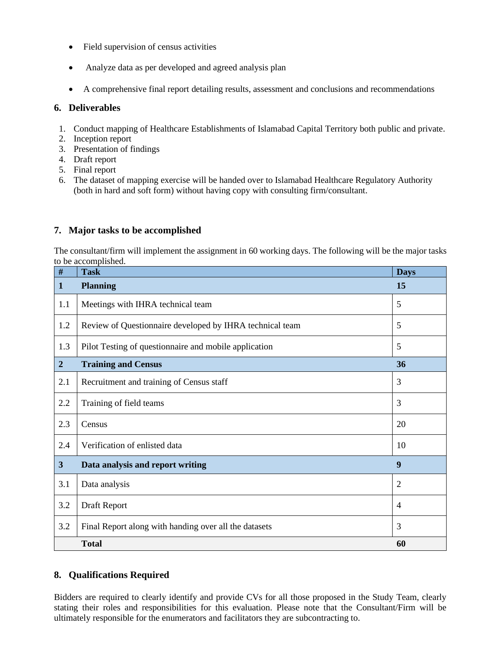- Field supervision of census activities
- Analyze data as per developed and agreed analysis plan
- A comprehensive final report detailing results, assessment and conclusions and recommendations

## <span id="page-3-0"></span>**6. Deliverables**

- 1. Conduct mapping of Healthcare Establishments of Islamabad Capital Territory both public and private.
- 2. Inception report
- 3. Presentation of findings
- 4. Draft report
- 5. Final report
- 6. The dataset of mapping exercise will be handed over to Islamabad Healthcare Regulatory Authority (both in hard and soft form) without having copy with consulting firm/consultant.

## <span id="page-3-1"></span>**7. Major tasks to be accomplished**

The consultant/firm will implement the assignment in 60 working days. The following will be the major tasks to be accomplished.

| $\overline{\#}$  | <b>Task</b>                                              | <b>Days</b>    |  |
|------------------|----------------------------------------------------------|----------------|--|
| 1                | <b>Planning</b>                                          | 15             |  |
| 1.1              | Meetings with IHRA technical team                        | 5              |  |
| 1.2              | Review of Questionnaire developed by IHRA technical team | 5              |  |
| 1.3              | Pilot Testing of questionnaire and mobile application    |                |  |
| $\boldsymbol{2}$ | <b>Training and Census</b>                               | 36             |  |
| 2.1              | Recruitment and training of Census staff                 | 3              |  |
| 2.2              | Training of field teams                                  |                |  |
| 2.3              | Census                                                   | 20             |  |
| 2.4              | Verification of enlisted data                            | 10             |  |
| $\mathbf{3}$     | Data analysis and report writing                         | 9              |  |
| 3.1              | Data analysis                                            | $\overline{2}$ |  |
| 3.2              | Draft Report                                             | $\overline{4}$ |  |
| 3.2              | Final Report along with handing over all the datasets    | 3              |  |
|                  | <b>Total</b>                                             | 60             |  |

## <span id="page-3-2"></span>**8. Qualifications Required**

Bidders are required to clearly identify and provide CVs for all those proposed in the Study Team, clearly stating their roles and responsibilities for this evaluation. Please note that the Consultant/Firm will be ultimately responsible for the enumerators and facilitators they are subcontracting to.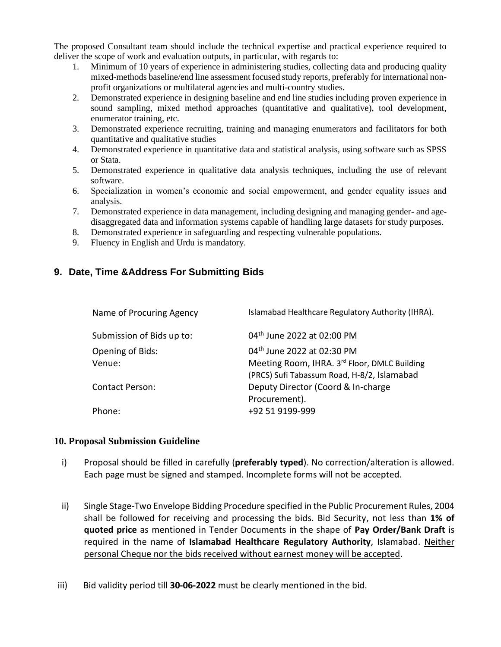The proposed Consultant team should include the technical expertise and practical experience required to deliver the scope of work and evaluation outputs, in particular, with regards to:

- 1. Minimum of 10 years of experience in administering studies, collecting data and producing quality mixed-methods baseline/end line assessment focused study reports, preferably for international nonprofit organizations or multilateral agencies and multi-country studies.
- 2. Demonstrated experience in designing baseline and end line studies including proven experience in sound sampling, mixed method approaches (quantitative and qualitative), tool development, enumerator training, etc.
- 3. Demonstrated experience recruiting, training and managing enumerators and facilitators for both quantitative and qualitative studies
- 4. Demonstrated experience in quantitative data and statistical analysis, using software such as SPSS or Stata.
- 5. Demonstrated experience in qualitative data analysis techniques, including the use of relevant software.
- 6. Specialization in women's economic and social empowerment, and gender equality issues and analysis.
- 7. Demonstrated experience in data management, including designing and managing gender- and agedisaggregated data and information systems capable of handling large datasets for study purposes.
- 8. Demonstrated experience in safeguarding and respecting vulnerable populations.
- 9. Fluency in English and Urdu is mandatory.

## <span id="page-4-0"></span>**9. Date, Time &Address For Submitting Bids**

| Islamabad Healthcare Regulatory Authority (IHRA).                                           |
|---------------------------------------------------------------------------------------------|
| 04 <sup>th</sup> June 2022 at 02:00 PM                                                      |
| 04 <sup>th</sup> June 2022 at 02:30 PM                                                      |
| Meeting Room, IHRA. 3rd Floor, DMLC Building<br>(PRCS) Sufi Tabassum Road, H-8/2, Islamabad |
| Deputy Director (Coord & In-charge<br>Procurement).                                         |
| +92 51 9199-999                                                                             |
|                                                                                             |

#### <span id="page-4-1"></span>**10. Proposal Submission Guideline**

- i) Proposal should be filled in carefully (**preferably typed**). No correction/alteration is allowed. Each page must be signed and stamped. Incomplete forms will not be accepted.
- ii) Single Stage-Two Envelope Bidding Procedure specified in the Public Procurement Rules, 2004 shall be followed for receiving and processing the bids. Bid Security, not less than **1% of quoted price** as mentioned in Tender Documents in the shape of **Pay Order/Bank Draft** is required in the name of **Islamabad Healthcare Regulatory Authority**, Islamabad. Neither personal Cheque nor the bids received without earnest money will be accepted.
- iii) Bid validity period till **30-06-2022** must be clearly mentioned in the bid.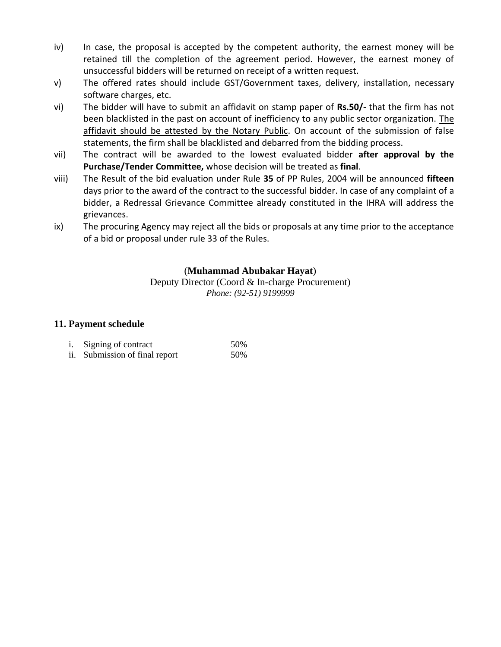- iv) In case, the proposal is accepted by the competent authority, the earnest money will be retained till the completion of the agreement period. However, the earnest money of unsuccessful bidders will be returned on receipt of a written request.
- v) The offered rates should include GST/Government taxes, delivery, installation, necessary software charges, etc.
- vi) The bidder will have to submit an affidavit on stamp paper of **Rs.50/-** that the firm has not been blacklisted in the past on account of inefficiency to any public sector organization. The affidavit should be attested by the Notary Public. On account of the submission of false statements, the firm shall be blacklisted and debarred from the bidding process.
- vii) The contract will be awarded to the lowest evaluated bidder **after approval by the Purchase/Tender Committee,** whose decision will be treated as **final**.
- viii) The Result of the bid evaluation under Rule **35** of PP Rules, 2004 will be announced **fifteen** days prior to the award of the contract to the successful bidder. In case of any complaint of a bidder, a Redressal Grievance Committee already constituted in the IHRA will address the grievances.
- ix) The procuring Agency may reject all the bids or proposals at any time prior to the acceptance of a bid or proposal under rule 33 of the Rules.

## (**Muhammad Abubakar Hayat**)

Deputy Director (Coord & In-charge Procurement) *Phone: (92-51) 9199999*

## <span id="page-5-0"></span>**11. Payment schedule**

| i. Signing of contract         | 50% |
|--------------------------------|-----|
| ii. Submission of final report | 50% |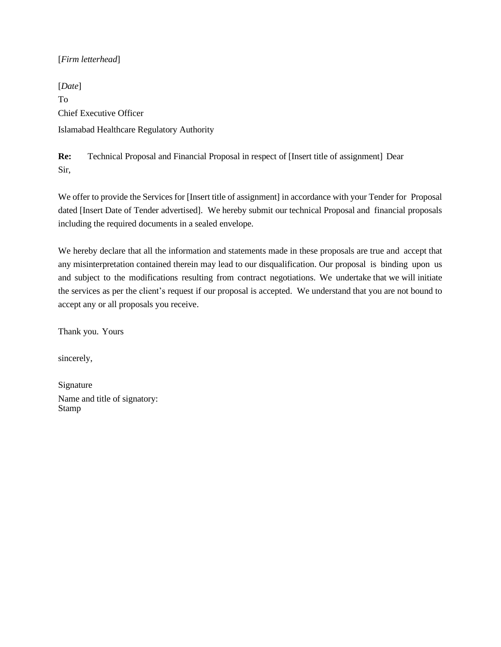### [*Firm letterhead*]

[*Date*] To Chief Executive Officer Islamabad Healthcare Regulatory Authority

**Re:** Technical Proposal and Financial Proposal in respect of [Insert title of assignment] Dear Sir,

We offer to provide the Services for [Insert title of assignment] in accordance with your Tender for Proposal dated [Insert Date of Tender advertised]. We hereby submit our technical Proposal and financial proposals including the required documents in a sealed envelope.

We hereby declare that all the information and statements made in these proposals are true and accept that any misinterpretation contained therein may lead to our disqualification. Our proposal is binding upon us and subject to the modifications resulting from contract negotiations. We undertake that we will initiate the services as per the client's request if our proposal is accepted. We understand that you are not bound to accept any or all proposals you receive.

Thank you. Yours

sincerely,

Signature Name and title of signatory: Stamp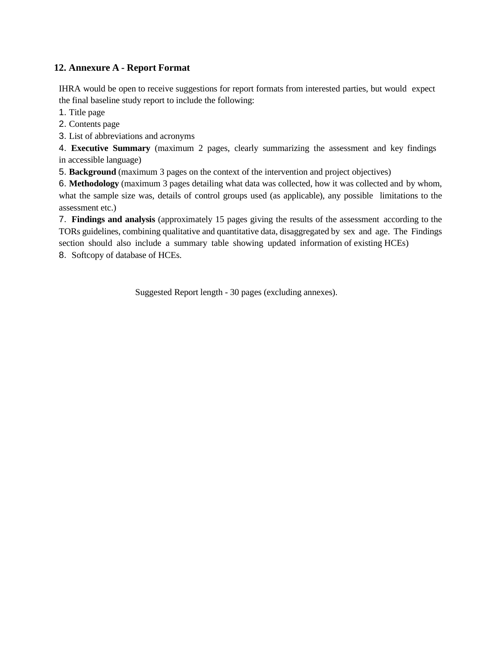## <span id="page-7-0"></span>**12. Annexure A - Report Format**

IHRA would be open to receive suggestions for report formats from interested parties, but would expect the final baseline study report to include the following:

1. Title page

2. Contents page

3. List of abbreviations and acronyms

4. **Executive Summary** (maximum 2 pages, clearly summarizing the assessment and key findings in accessible language)

5. **Background** (maximum 3 pages on the context of the intervention and project objectives)

6. **Methodology** (maximum 3 pages detailing what data was collected, how it was collected and by whom, what the sample size was, details of control groups used (as applicable), any possible limitations to the assessment etc.)

7. **Findings and analysis** (approximately 15 pages giving the results of the assessment according to the TORs guidelines, combining qualitative and quantitative data, disaggregated by sex and age. The Findings section should also include a summary table showing updated information of existing HCEs) 8. Softcopy of database of HCEs.

Suggested Report length - 30 pages (excluding annexes).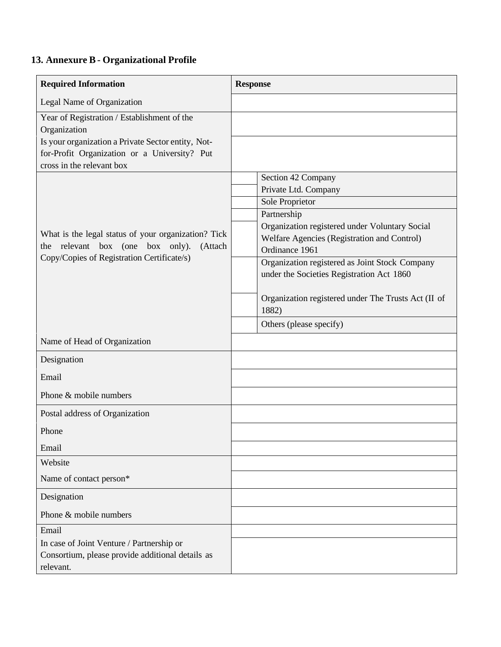## <span id="page-8-0"></span>**13. Annexure B- Organizational Profile**

| <b>Required Information</b>                                                                                                     | <b>Response</b>                                                                                                 |
|---------------------------------------------------------------------------------------------------------------------------------|-----------------------------------------------------------------------------------------------------------------|
| Legal Name of Organization                                                                                                      |                                                                                                                 |
| Year of Registration / Establishment of the<br>Organization                                                                     |                                                                                                                 |
| Is your organization a Private Sector entity, Not-<br>for-Profit Organization or a University? Put<br>cross in the relevant box |                                                                                                                 |
|                                                                                                                                 | Section 42 Company                                                                                              |
|                                                                                                                                 | Private Ltd. Company<br><b>Sole Proprietor</b>                                                                  |
|                                                                                                                                 | Partnership                                                                                                     |
| What is the legal status of your organization? Tick<br>the relevant box (one box only).<br>(Attach                              | Organization registered under Voluntary Social<br>Welfare Agencies (Registration and Control)<br>Ordinance 1961 |
| Copy/Copies of Registration Certificate/s)                                                                                      | Organization registered as Joint Stock Company<br>under the Societies Registration Act 1860                     |
|                                                                                                                                 | Organization registered under The Trusts Act (II of<br>1882)                                                    |
|                                                                                                                                 | Others (please specify)                                                                                         |
| Name of Head of Organization                                                                                                    |                                                                                                                 |
| Designation                                                                                                                     |                                                                                                                 |
| Email                                                                                                                           |                                                                                                                 |
| Phone & mobile numbers                                                                                                          |                                                                                                                 |
| Postal address of Organization                                                                                                  |                                                                                                                 |
| Phone                                                                                                                           |                                                                                                                 |
| Email                                                                                                                           |                                                                                                                 |
| Website                                                                                                                         |                                                                                                                 |
| Name of contact person*                                                                                                         |                                                                                                                 |
| Designation                                                                                                                     |                                                                                                                 |
| Phone & mobile numbers                                                                                                          |                                                                                                                 |
| Email                                                                                                                           |                                                                                                                 |
| In case of Joint Venture / Partnership or<br>Consortium, please provide additional details as<br>relevant.                      |                                                                                                                 |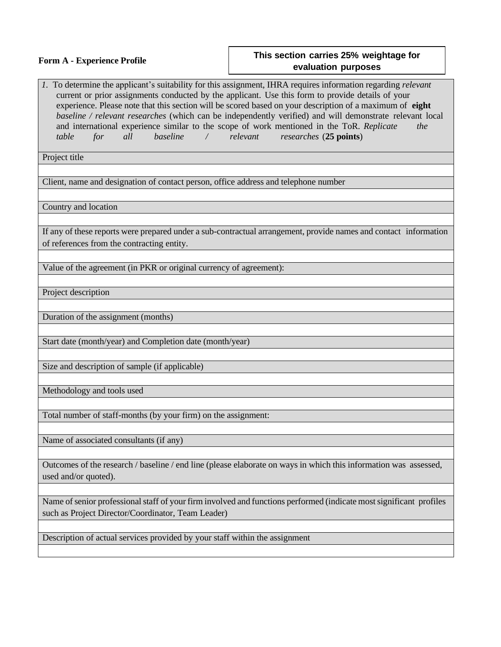| <b>Form A - Experience Profile</b>                                                                                                         | This section carries 25% weightage for<br>evaluation purposes                                                                                                                                                                                                                                                                                                                                                                                                                        |
|--------------------------------------------------------------------------------------------------------------------------------------------|--------------------------------------------------------------------------------------------------------------------------------------------------------------------------------------------------------------------------------------------------------------------------------------------------------------------------------------------------------------------------------------------------------------------------------------------------------------------------------------|
| and international experience similar to the scope of work mentioned in the ToR. Replicate<br>baseline<br>$\sqrt{2}$<br>table<br>all<br>for | 1. To determine the applicant's suitability for this assignment, IHRA requires information regarding relevant<br>current or prior assignments conducted by the applicant. Use this form to provide details of your<br>experience. Please note that this section will be scored based on your description of a maximum of eight<br>baseline / relevant researches (which can be independently verified) and will demonstrate relevant local<br>the<br>relevant researches (25 points) |
| Project title                                                                                                                              |                                                                                                                                                                                                                                                                                                                                                                                                                                                                                      |
| Client, name and designation of contact person, office address and telephone number                                                        |                                                                                                                                                                                                                                                                                                                                                                                                                                                                                      |
| Country and location                                                                                                                       |                                                                                                                                                                                                                                                                                                                                                                                                                                                                                      |
| of references from the contracting entity.                                                                                                 | If any of these reports were prepared under a sub-contractual arrangement, provide names and contact information                                                                                                                                                                                                                                                                                                                                                                     |
| Value of the agreement (in PKR or original currency of agreement):                                                                         |                                                                                                                                                                                                                                                                                                                                                                                                                                                                                      |
| Project description                                                                                                                        |                                                                                                                                                                                                                                                                                                                                                                                                                                                                                      |
| Duration of the assignment (months)                                                                                                        |                                                                                                                                                                                                                                                                                                                                                                                                                                                                                      |
| Start date (month/year) and Completion date (month/year)                                                                                   |                                                                                                                                                                                                                                                                                                                                                                                                                                                                                      |
| Size and description of sample (if applicable)                                                                                             |                                                                                                                                                                                                                                                                                                                                                                                                                                                                                      |
| Methodology and tools used                                                                                                                 |                                                                                                                                                                                                                                                                                                                                                                                                                                                                                      |
| Total number of staff-months (by your firm) on the assignment:                                                                             |                                                                                                                                                                                                                                                                                                                                                                                                                                                                                      |
| Name of associated consultants (if any)                                                                                                    |                                                                                                                                                                                                                                                                                                                                                                                                                                                                                      |
| used and/or quoted).                                                                                                                       | Outcomes of the research / baseline / end line (please elaborate on ways in which this information was assessed,                                                                                                                                                                                                                                                                                                                                                                     |
| such as Project Director/Coordinator, Team Leader)                                                                                         | Name of senior professional staff of your firm involved and functions performed (indicate most significant profiles                                                                                                                                                                                                                                                                                                                                                                  |
| Description of actual services provided by your staff within the assignment                                                                |                                                                                                                                                                                                                                                                                                                                                                                                                                                                                      |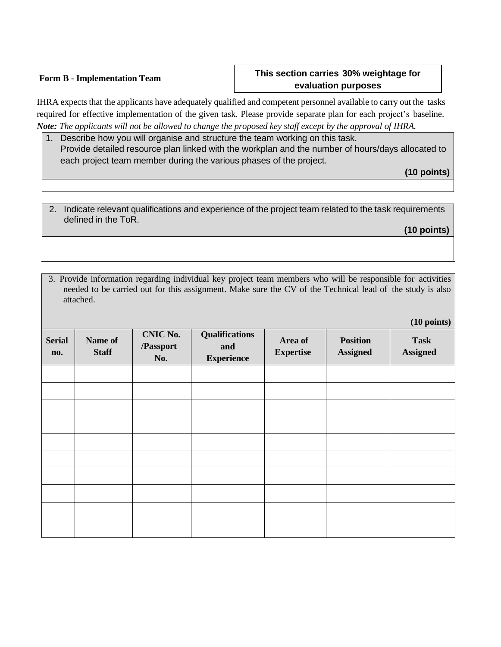#### **Form B - Implementation Team**

## **This section carries 30% weightage for evaluation purposes**

IHRA expects that the applicants have adequately qualified and competent personnel available to carry out the tasks required for effective implementation of the given task. Please provide separate plan for each project's baseline. *Note: The applicants will not be allowed to change the proposed key staff except by the approval of IHRA.*

1. Describe how you will organise and structure the team working on this task. Provide detailed resource plan linked with the workplan and the number of hours/days allocated to each project team member during the various phases of the project.

**(10 points)**

2. Indicate relevant qualifications and experience of the project team related to the task requirements defined in the ToR.

**(10 points)**

3. Provide information regarding individual key project team members who will be responsible for activities needed to be carried out for this assignment. Make sure the CV of the Technical lead of the study is also attached.

**Serial no. Name of Staff CNIC No. /Passport No. Qualifications and Experience Area of Expertise Position Assigned Task Assigned**

**(10 points)**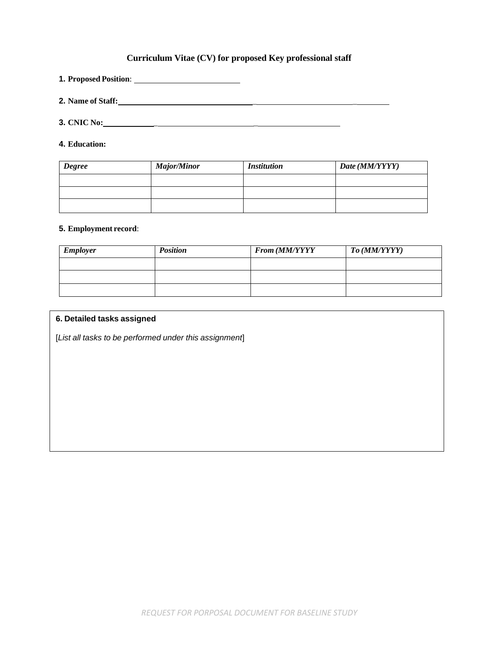#### **Curriculum Vitae (CV) for proposed Key professional staff**

**1. Proposed Position**:

**2. Name of Staff:** \_ \_

**3. CNIC No:** \_ \_

**4. Education:**

| <b>Degree</b> | <b>Major/Minor</b> | <i>Institution</i> | Date (MM/YYYY) |
|---------------|--------------------|--------------------|----------------|
|               |                    |                    |                |
|               |                    |                    |                |
|               |                    |                    |                |

#### **5. Employment record**:

| <b>Employer</b> | <b>Position</b> | From (MM/YYYY | To (MM/YYYY) |
|-----------------|-----------------|---------------|--------------|
|                 |                 |               |              |
|                 |                 |               |              |
|                 |                 |               |              |

#### **6. Detailed tasks assigned**

[*List all tasks to be performed under this assignment*]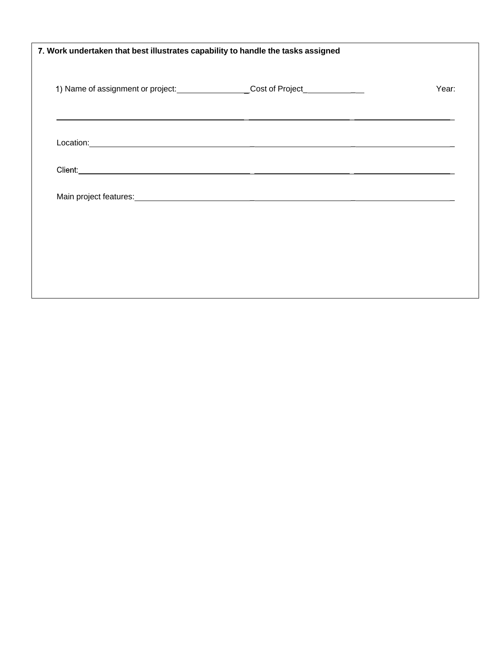| 1) Name of assignment or project: _____________________Cost of Project_________________                                                                                                                                             | Year: |
|-------------------------------------------------------------------------------------------------------------------------------------------------------------------------------------------------------------------------------------|-------|
|                                                                                                                                                                                                                                     |       |
|                                                                                                                                                                                                                                     |       |
| Client: <u>Client Client Communication</u> Client Communication Client Communication Client Communication Client Communication Communication Communication Communication Communication Communication Communication Communication Co |       |
|                                                                                                                                                                                                                                     |       |
|                                                                                                                                                                                                                                     |       |
|                                                                                                                                                                                                                                     |       |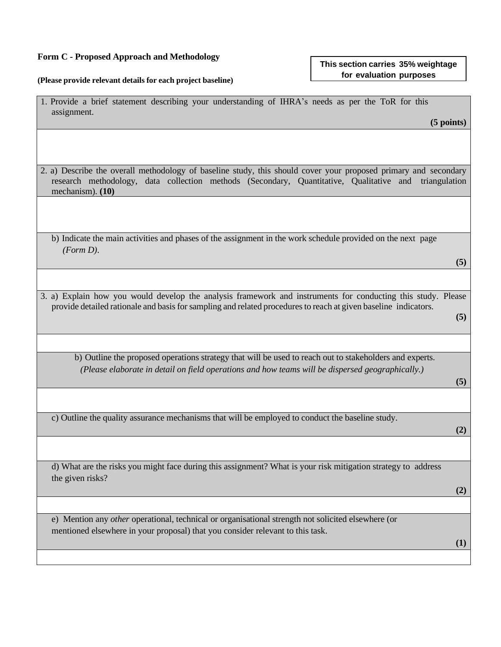#### **Form C - Proposed Approach and Methodology**

#### **(Please provide relevant details for each project baseline)**

| assignment.                                                                                                                                                                                                                                    | $(5$ points) |
|------------------------------------------------------------------------------------------------------------------------------------------------------------------------------------------------------------------------------------------------|--------------|
|                                                                                                                                                                                                                                                |              |
|                                                                                                                                                                                                                                                |              |
| 2. a) Describe the overall methodology of baseline study, this should cover your proposed primary and secondary<br>research methodology, data collection methods (Secondary, Quantitative, Qualitative and triangulation<br>mechanism). $(10)$ |              |
|                                                                                                                                                                                                                                                |              |
|                                                                                                                                                                                                                                                |              |

b) Indicate the main activities and phases of the assignment in the work schedule provided on the next page *(Form D)*.

1. Provide a brief statement describing your understanding of IHRA's needs as per the ToR for this

**(5)**

**(5)**

3. a) Explain how you would develop the analysis framework and instruments for conducting this study. Please provide detailed rationale and basisfor sampling and related proceduresto reach at given baseline indicators.

b) Outline the proposed operations strategy that will be used to reach out to stakeholders and experts. *(Please elaborate in detail on field operations and how teams will be dispersed geographically.)*

#### **(5)**

**(2)**

c) Outline the quality assurance mechanisms that will be employed to conduct the baseline study.

d) What are the risks you might face during this assignment? What is your risk mitigation strategy to address the given risks?

**(2)**

e) Mention any *other* operational, technical or organisational strength not solicited elsewhere (or mentioned elsewhere in your proposal) that you consider relevant to this task.

**(1)**

#### **This section carries 35% weightage for evaluation purposes**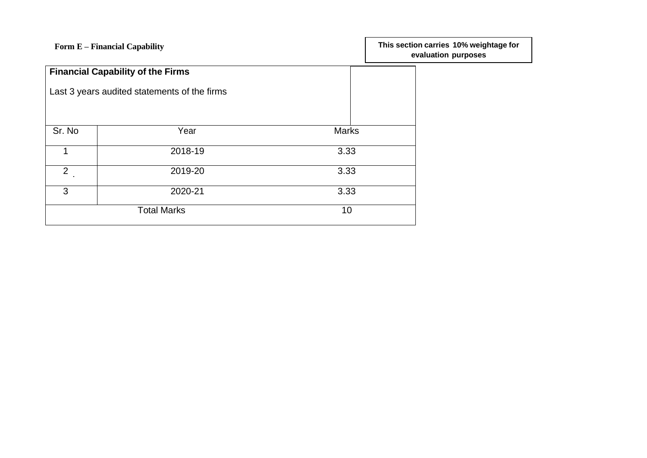| Form E - Financial Capability            |                                              |              | This section carries 10% weightage for<br>evaluation purposes |
|------------------------------------------|----------------------------------------------|--------------|---------------------------------------------------------------|
| <b>Financial Capability of the Firms</b> |                                              |              |                                                               |
|                                          | Last 3 years audited statements of the firms |              |                                                               |
|                                          |                                              |              |                                                               |
| Sr. No                                   | Year                                         | <b>Marks</b> |                                                               |
|                                          | 2018-19                                      | 3.33         |                                                               |
| $2^{\circ}$                              | 2019-20                                      | 3.33         |                                                               |
| 3                                        | 2020-21                                      | 3.33         |                                                               |
|                                          | <b>Total Marks</b>                           | 10           |                                                               |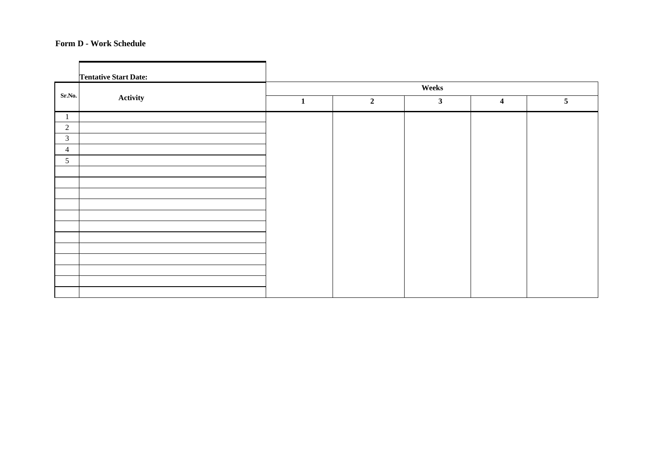#### **Form D - Work Schedule**

|                 | <b>Tentative Start Date:</b> |              |                |              |                         |                |
|-----------------|------------------------------|--------------|----------------|--------------|-------------------------|----------------|
|                 | Activity                     | Weeks        |                |              |                         |                |
| Sr.No.          |                              | $\mathbf{1}$ | $\overline{2}$ | $\mathbf{3}$ | $\overline{\mathbf{4}}$ | 5 <sup>5</sup> |
| -1              |                              |              |                |              |                         |                |
| $\overline{2}$  |                              |              |                |              |                         |                |
| $\mathfrak{Z}$  |                              |              |                |              |                         |                |
| $\overline{4}$  |                              |              |                |              |                         |                |
| $5\overline{)}$ |                              |              |                |              |                         |                |
|                 |                              |              |                |              |                         |                |
|                 |                              |              |                |              |                         |                |
|                 |                              |              |                |              |                         |                |
|                 |                              |              |                |              |                         |                |
|                 |                              |              |                |              |                         |                |
|                 |                              |              |                |              |                         |                |
|                 |                              |              |                |              |                         |                |
|                 |                              |              |                |              |                         |                |
|                 |                              |              |                |              |                         |                |
|                 |                              |              |                |              |                         |                |
|                 |                              |              |                |              |                         |                |
|                 |                              |              |                |              |                         |                |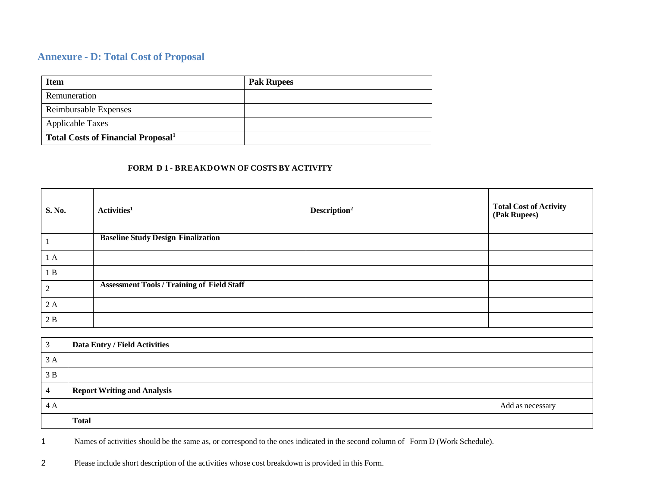## **Annexure - D: Total Cost of Proposal**

| <b>Item</b>                                           | <b>Pak Rupees</b> |
|-------------------------------------------------------|-------------------|
| Remuneration                                          |                   |
| Reimbursable Expenses                                 |                   |
| <b>Applicable Taxes</b>                               |                   |
| <b>Total Costs of Financial Proposal</b> <sup>1</sup> |                   |

#### **FORM D 1 - BREAKDOWN OF COSTS BY ACTIVITY**

| <b>S. No.</b> | Activities <sup>1</sup>                           | Description <sup>2</sup> | <b>Total Cost of Activity<br/>(Pak Rupees)</b> |
|---------------|---------------------------------------------------|--------------------------|------------------------------------------------|
| $\perp$       | <b>Baseline Study Design Finalization</b>         |                          |                                                |
| 1A            |                                                   |                          |                                                |
| 1B            |                                                   |                          |                                                |
| 2             | <b>Assessment Tools / Training of Field Staff</b> |                          |                                                |
| 2A            |                                                   |                          |                                                |
| 2B            |                                                   |                          |                                                |

|                | Data Entry / Field Activities      |
|----------------|------------------------------------|
| 3A             |                                    |
| 3B             |                                    |
| $\overline{4}$ | <b>Report Writing and Analysis</b> |
| 4A             | Add as necessary                   |
|                | <b>Total</b>                       |

1 Names of activities should be the same as, or correspond to the ones indicated in the second column of Form D (Work Schedule).

2 Please include short description of the activities whose cost breakdown is provided in this Form.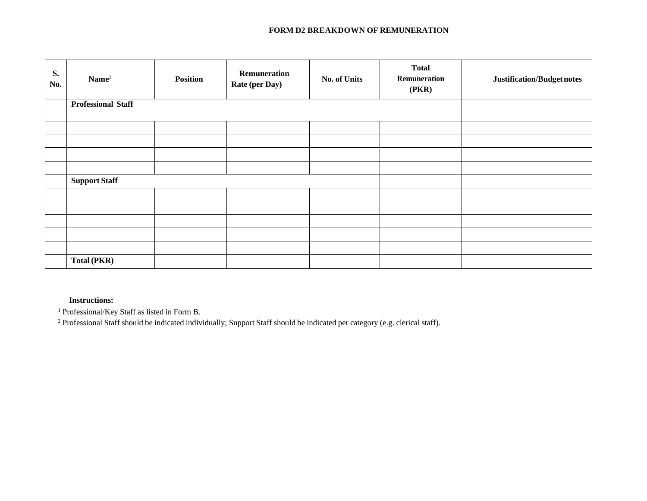#### **FORM D2 BREAKDOWN OF REMUNERATION**

| S.<br>No. | $\mathbf{Name}^2$         | <b>Position</b> | <b>Remuneration</b><br><b>Rate (per Day)</b> | <b>No. of Units</b> | <b>Total</b><br>Remuneration<br>(PKR) | Justification/Budget notes |
|-----------|---------------------------|-----------------|----------------------------------------------|---------------------|---------------------------------------|----------------------------|
|           | <b>Professional Staff</b> |                 |                                              |                     |                                       |                            |
|           |                           |                 |                                              |                     |                                       |                            |
|           |                           |                 |                                              |                     |                                       |                            |
|           |                           |                 |                                              |                     |                                       |                            |
|           |                           |                 |                                              |                     |                                       |                            |
|           | <b>Support Staff</b>      |                 |                                              |                     |                                       |                            |
|           |                           |                 |                                              |                     |                                       |                            |
|           |                           |                 |                                              |                     |                                       |                            |
|           |                           |                 |                                              |                     |                                       |                            |
|           |                           |                 |                                              |                     |                                       |                            |
|           |                           |                 |                                              |                     |                                       |                            |
|           | Total (PKR)               |                 |                                              |                     |                                       |                            |

#### **Instructions:**

<sup>1</sup> Professional/Key Staff as listed in Form B.

<sup>2</sup> Professional Staff should be indicated individually; Support Staff should be indicated per category (e.g. clerical staff).